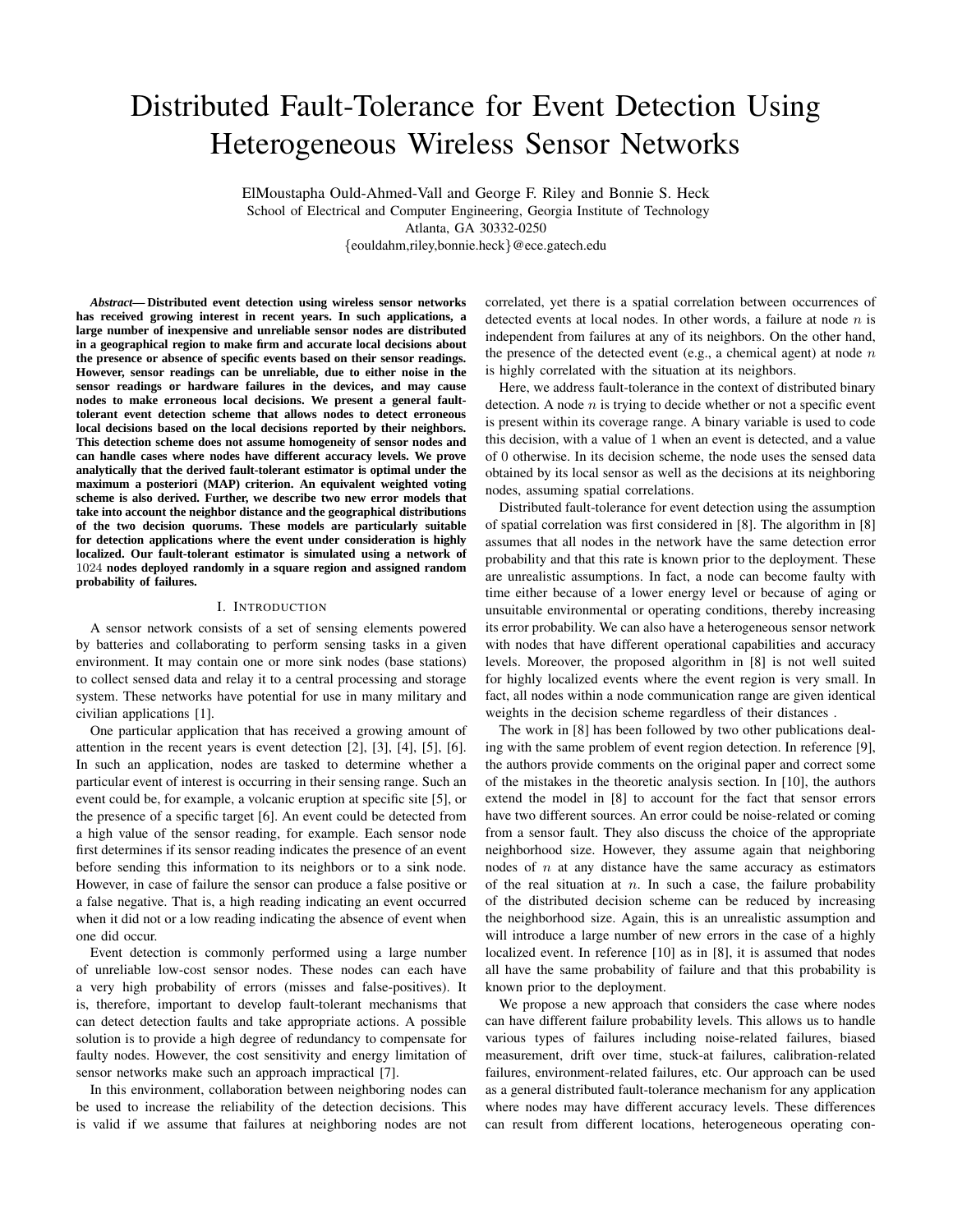# Distributed Fault-Tolerance for Event Detection Using Heterogeneous Wireless Sensor Networks

ElMoustapha Ould-Ahmed-Vall and George F. Riley and Bonnie S. Heck School of Electrical and Computer Engineering, Georgia Institute of Technology Atlanta, GA 30332-0250 {eouldahm,riley,bonnie.heck}@ece.gatech.edu

*Abstract***— Distributed event detection using wireless sensor networks has received growing interest in recent years. In such applications, a large number of inexpensive and unreliable sensor nodes are distributed in a geographical region to make firm and accurate local decisions about the presence or absence of specific events based on their sensor readings. However, sensor readings can be unreliable, due to either noise in the sensor readings or hardware failures in the devices, and may cause nodes to make erroneous local decisions. We present a general faulttolerant event detection scheme that allows nodes to detect erroneous local decisions based on the local decisions reported by their neighbors. This detection scheme does not assume homogeneity of sensor nodes and can handle cases where nodes have different accuracy levels. We prove analytically that the derived fault-tolerant estimator is optimal under the maximum a posteriori (MAP) criterion. An equivalent weighted voting scheme is also derived. Further, we describe two new error models that take into account the neighbor distance and the geographical distributions of the two decision quorums. These models are particularly suitable for detection applications where the event under consideration is highly localized. Our fault-tolerant estimator is simulated using a network of** 1024 **nodes deployed randomly in a square region and assigned random probability of failures.**

## I. INTRODUCTION

A sensor network consists of a set of sensing elements powered by batteries and collaborating to perform sensing tasks in a given environment. It may contain one or more sink nodes (base stations) to collect sensed data and relay it to a central processing and storage system. These networks have potential for use in many military and civilian applications [1].

One particular application that has received a growing amount of attention in the recent years is event detection [2], [3], [4], [5], [6]. In such an application, nodes are tasked to determine whether a particular event of interest is occurring in their sensing range. Such an event could be, for example, a volcanic eruption at specific site [5], or the presence of a specific target [6]. An event could be detected from a high value of the sensor reading, for example. Each sensor node first determines if its sensor reading indicates the presence of an event before sending this information to its neighbors or to a sink node. However, in case of failure the sensor can produce a false positive or a false negative. That is, a high reading indicating an event occurred when it did not or a low reading indicating the absence of event when one did occur.

Event detection is commonly performed using a large number of unreliable low-cost sensor nodes. These nodes can each have a very high probability of errors (misses and false-positives). It is, therefore, important to develop fault-tolerant mechanisms that can detect detection faults and take appropriate actions. A possible solution is to provide a high degree of redundancy to compensate for faulty nodes. However, the cost sensitivity and energy limitation of sensor networks make such an approach impractical [7].

In this environment, collaboration between neighboring nodes can be used to increase the reliability of the detection decisions. This is valid if we assume that failures at neighboring nodes are not correlated, yet there is a spatial correlation between occurrences of detected events at local nodes. In other words, a failure at node  $n$  is independent from failures at any of its neighbors. On the other hand, the presence of the detected event (e.g., a chemical agent) at node  $n$ is highly correlated with the situation at its neighbors.

Here, we address fault-tolerance in the context of distributed binary detection. A node  $n$  is trying to decide whether or not a specific event is present within its coverage range. A binary variable is used to code this decision, with a value of 1 when an event is detected, and a value of 0 otherwise. In its decision scheme, the node uses the sensed data obtained by its local sensor as well as the decisions at its neighboring nodes, assuming spatial correlations.

Distributed fault-tolerance for event detection using the assumption of spatial correlation was first considered in [8]. The algorithm in [8] assumes that all nodes in the network have the same detection error probability and that this rate is known prior to the deployment. These are unrealistic assumptions. In fact, a node can become faulty with time either because of a lower energy level or because of aging or unsuitable environmental or operating conditions, thereby increasing its error probability. We can also have a heterogeneous sensor network with nodes that have different operational capabilities and accuracy levels. Moreover, the proposed algorithm in [8] is not well suited for highly localized events where the event region is very small. In fact, all nodes within a node communication range are given identical weights in the decision scheme regardless of their distances .

The work in [8] has been followed by two other publications dealing with the same problem of event region detection. In reference [9], the authors provide comments on the original paper and correct some of the mistakes in the theoretic analysis section. In [10], the authors extend the model in [8] to account for the fact that sensor errors have two different sources. An error could be noise-related or coming from a sensor fault. They also discuss the choice of the appropriate neighborhood size. However, they assume again that neighboring nodes of  $n$  at any distance have the same accuracy as estimators of the real situation at  $n$ . In such a case, the failure probability of the distributed decision scheme can be reduced by increasing the neighborhood size. Again, this is an unrealistic assumption and will introduce a large number of new errors in the case of a highly localized event. In reference [10] as in [8], it is assumed that nodes all have the same probability of failure and that this probability is known prior to the deployment.

We propose a new approach that considers the case where nodes can have different failure probability levels. This allows us to handle various types of failures including noise-related failures, biased measurement, drift over time, stuck-at failures, calibration-related failures, environment-related failures, etc. Our approach can be used as a general distributed fault-tolerance mechanism for any application where nodes may have different accuracy levels. These differences can result from different locations, heterogeneous operating con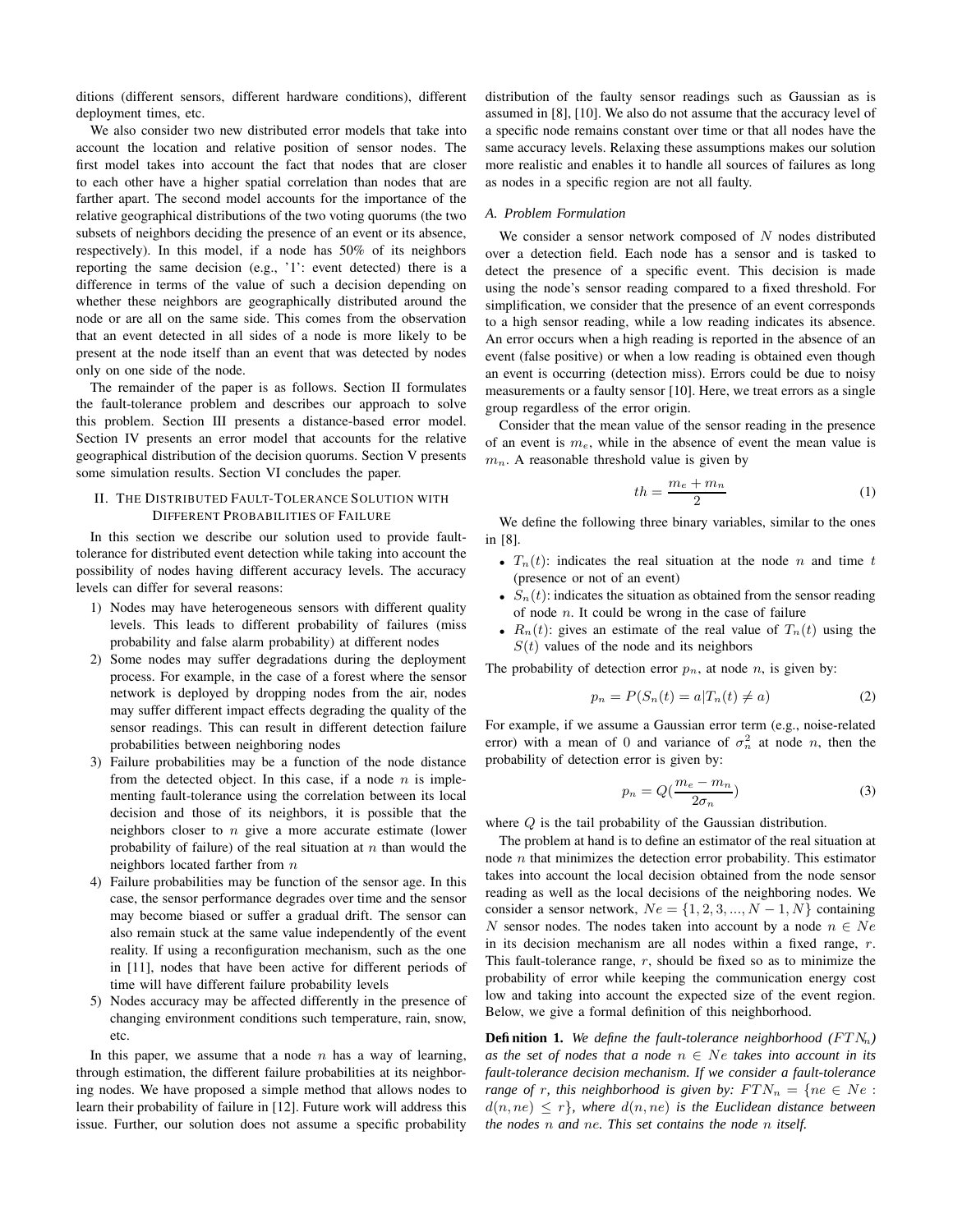ditions (different sensors, different hardware conditions), different deployment times, etc.

We also consider two new distributed error models that take into account the location and relative position of sensor nodes. The first model takes into account the fact that nodes that are closer to each other have a higher spatial correlation than nodes that are farther apart. The second model accounts for the importance of the relative geographical distributions of the two voting quorums (the two subsets of neighbors deciding the presence of an event or its absence, respectively). In this model, if a node has 50% of its neighbors reporting the same decision (e.g., '1': event detected) there is a difference in terms of the value of such a decision depending on whether these neighbors are geographically distributed around the node or are all on the same side. This comes from the observation that an event detected in all sides of a node is more likely to be present at the node itself than an event that was detected by nodes only on one side of the node.

The remainder of the paper is as follows. Section II formulates the fault-tolerance problem and describes our approach to solve this problem. Section III presents a distance-based error model. Section IV presents an error model that accounts for the relative geographical distribution of the decision quorums. Section V presents some simulation results. Section VI concludes the paper.

# II. THE DISTRIBUTED FAULT-TOLERANCE SOLUTION WITH DIFFERENT PROBABILITIES OF FAILURE

In this section we describe our solution used to provide faulttolerance for distributed event detection while taking into account the possibility of nodes having different accuracy levels. The accuracy levels can differ for several reasons:

- 1) Nodes may have heterogeneous sensors with different quality levels. This leads to different probability of failures (miss probability and false alarm probability) at different nodes
- 2) Some nodes may suffer degradations during the deployment process. For example, in the case of a forest where the sensor network is deployed by dropping nodes from the air, nodes may suffer different impact effects degrading the quality of the sensor readings. This can result in different detection failure probabilities between neighboring nodes
- 3) Failure probabilities may be a function of the node distance from the detected object. In this case, if a node  $n$  is implementing fault-tolerance using the correlation between its local decision and those of its neighbors, it is possible that the neighbors closer to  $n$  give a more accurate estimate (lower probability of failure) of the real situation at  $n$  than would the neighbors located farther from  $n$
- 4) Failure probabilities may be function of the sensor age. In this case, the sensor performance degrades over time and the sensor may become biased or suffer a gradual drift. The sensor can also remain stuck at the same value independently of the event reality. If using a reconfiguration mechanism, such as the one in [11], nodes that have been active for different periods of time will have different failure probability levels
- 5) Nodes accuracy may be affected differently in the presence of changing environment conditions such temperature, rain, snow, etc.

In this paper, we assume that a node  $n$  has a way of learning, through estimation, the different failure probabilities at its neighboring nodes. We have proposed a simple method that allows nodes to learn their probability of failure in [12]. Future work will address this issue. Further, our solution does not assume a specific probability distribution of the faulty sensor readings such as Gaussian as is assumed in [8], [10]. We also do not assume that the accuracy level of a specific node remains constant over time or that all nodes have the same accuracy levels. Relaxing these assumptions makes our solution more realistic and enables it to handle all sources of failures as long as nodes in a specific region are not all faulty.

## *A. Problem Formulation*

We consider a sensor network composed of  $N$  nodes distributed over a detection field. Each node has a sensor and is tasked to detect the presence of a specific event. This decision is made using the node's sensor reading compared to a fixed threshold. For simplification, we consider that the presence of an event corresponds to a high sensor reading, while a low reading indicates its absence. An error occurs when a high reading is reported in the absence of an event (false positive) or when a low reading is obtained even though an event is occurring (detection miss). Errors could be due to noisy measurements or a faulty sensor [10]. Here, we treat errors as a single group regardless of the error origin.

Consider that the mean value of the sensor reading in the presence of an event is  $m<sub>e</sub>$ , while in the absence of event the mean value is  $m_n$ . A reasonable threshold value is given by

$$
th = \frac{m_e + m_n}{2} \tag{1}
$$

We define the following three binary variables, similar to the ones in [8].

- $T_n(t)$ : indicates the real situation at the node n and time t (presence or not of an event)
- $S_n(t)$ : indicates the situation as obtained from the sensor reading of node  $n$ . It could be wrong in the case of failure
- $R_n(t)$ : gives an estimate of the real value of  $T_n(t)$  using the  $S(t)$  values of the node and its neighbors

The probability of detection error  $p_n$ , at node n, is given by:

$$
p_n = P(S_n(t) = a | T_n(t) \neq a)
$$
\n<sup>(2)</sup>

For example, if we assume a Gaussian error term (e.g., noise-related error) with a mean of 0 and variance of  $\sigma_n^2$  at node *n*, then the probability of detection error is given by:

$$
p_n = Q(\frac{m_e - m_n}{2\sigma_n})
$$
\n(3)

where  $Q$  is the tail probability of the Gaussian distribution.

The problem at hand is to define an estimator of the real situation at node  $n$  that minimizes the detection error probability. This estimator takes into account the local decision obtained from the node sensor reading as well as the local decisions of the neighboring nodes. We consider a sensor network,  $Ne = \{1, 2, 3, ..., N - 1, N\}$  containing N sensor nodes. The nodes taken into account by a node  $n \in Ne$ in its decision mechanism are all nodes within a fixed range,  $r$ . This fault-tolerance range,  $r$ , should be fixed so as to minimize the probability of error while keeping the communication energy cost low and taking into account the expected size of the event region. Below, we give a formal definition of this neighborhood.

**Definition 1.** We define the fault-tolerance neighborhood  $(FT N_n)$ *as the set of nodes that a node*  $n \in N$ *e takes into account in its fault-tolerance decision mechanism. If we consider a fault-tolerance range of r*, *this neighborhood is given by:*  $FTN_n = \{ne \in Ne :$  $d(n, ne) \leq r$ , where  $d(n, ne)$  is the Euclidean distance between *the nodes* n *and* ne*. This set contains the node* n *itself.*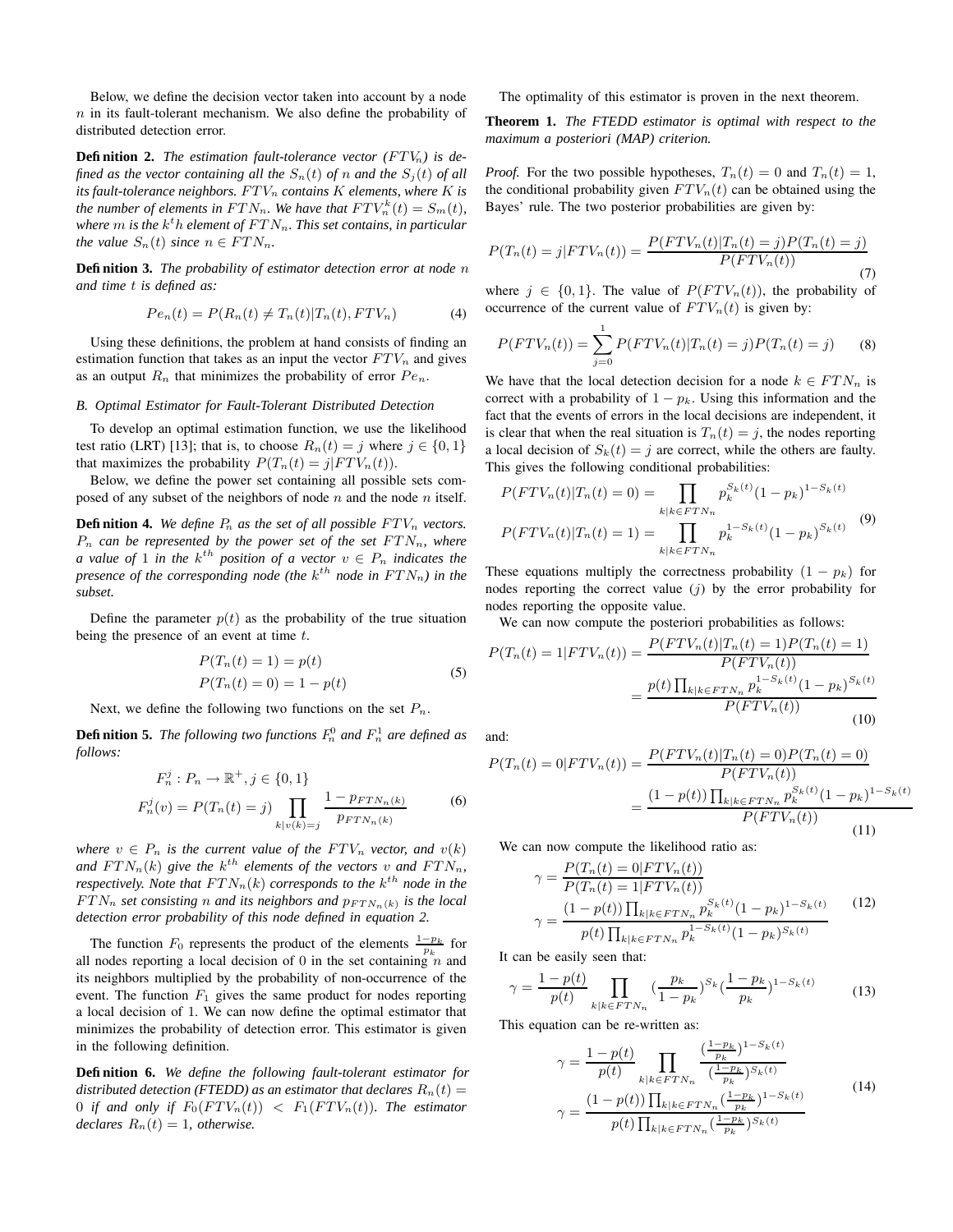Below, we define the decision vector taken into account by a node  $n$  in its fault-tolerant mechanism. We also define the probability of distributed detection error.

**Definition 2.** The estimation fault-tolerance vector  $(FTV_n)$  is de*fined* as the vector containing all the  $S_n(t)$  of n and the  $S_i(t)$  of all *its fault-tolerance neighbors.*  $FTV_n$  *contains*  $K$  *elements, where*  $K$  *is the number* of *elements* in  $FTN_n$ . We have that  $FTV_n^k(t) = S_m(t)$ , where  $m$  is the  $k^t h$  element of  $FTN_n$ . This set contains, in particular *the value*  $S_n(t)$  *since*  $n \in FTN_n$ *.* 

**Definition 3.** *The probability of estimator detection error at node* n *and time* t *is defined as:*

$$
Pe_n(t) = P(R_n(t) \neq T_n(t)|T_n(t), FTV_n)
$$
\n(4)

Using these definitions, the problem at hand consists of finding an estimation function that takes as an input the vector  $FTV_n$  and gives as an output  $R_n$  that minimizes the probability of error  $Pe_n$ .

#### *B. Optimal Estimator for Fault-Tolerant Distributed Detection*

To develop an optimal estimation function, we use the likelihood test ratio (LRT) [13]; that is, to choose  $R_n(t) = j$  where  $j \in \{0, 1\}$ that maximizes the probability  $P(T_n(t) = j|FTV_n(t))$ .

Below, we define the power set containing all possible sets composed of any subset of the neighbors of node  $n$  and the node  $n$  itself.

**Definition 4.** We define  $P_n$  as the set of all possible  $FTV_n$  vectors.  $P_n$  *can be represented by the power set of the set*  $FTN_n$ *, where a value of* 1 *in the*  $k^{th}$  *position of a vector*  $v \in P_n$  *indicates the presence of the corresponding node (the* k th *node in* FT Nn*) in the subset.*

Define the parameter  $p(t)$  as the probability of the true situation being the presence of an event at time  $t$ .

$$
P(T_n(t) = 1) = p(t)
$$
  
 
$$
P(T_n(t) = 0) = 1 - p(t)
$$
 (5)

Next, we define the following two functions on the set  $P_n$ .

**Definition 5.** The following two functions  $F_n^0$  and  $F_n^1$  are defined as *follows:*

$$
F_n^j : P_n \to \mathbb{R}^+, j \in \{0, 1\}
$$
  

$$
F_n^j(v) = P(T_n(t) = j) \prod_{k|v(k) = j} \frac{1 - p_{FTN_n(k)}}{p_{FTN_n(k)}}
$$
 (6)

*where*  $v \in P_n$  *is the current value of the FTV<sub>n</sub> vector, and*  $v(k)$ and  $FTN_n(k)$  give the  $k^{th}$  elements of the vectors v and  $FTN_n$ , *respectively. Note that*  $FTN_n(k)$  *corresponds to the*  $k^{th}$  *node in the*  $FTN_n$  *set consisting n and its neighbors and*  $p_{FTN_n(k)}$  *is the local detection error probability of this node defined in equation 2.*

The function  $F_0$  represents the product of the elements  $\frac{1-p_k}{p_k}$  for all nodes reporting a local decision of 0 in the set containing  $n$  and its neighbors multiplied by the probability of non-occurrence of the event. The function  $F_1$  gives the same product for nodes reporting a local decision of 1. We can now define the optimal estimator that minimizes the probability of detection error. This estimator is given in the following definition.

**Definition 6.** *We define the following fault-tolerant estimator for distributed detection* (*FTEDD*) *as an estimator that declares*  $R_n(t)$  = 0 *if* and only if  $F_0(FTV_n(t)) < F_1(FTV_n(t))$ . The estimator *declares*  $R_n(t) = 1$ *, otherwise.* 

The optimality of this estimator is proven in the next theorem.

**Theorem 1.** *The FTEDD estimator is optimal with respect to the maximum a posteriori (MAP) criterion.*

*Proof.* For the two possible hypotheses,  $T_n(t) = 0$  and  $T_n(t) = 1$ , the conditional probability given  $FTV_n(t)$  can be obtained using the Bayes' rule. The two posterior probabilities are given by:

$$
P(T_n(t) = j|FTV_n(t)) = \frac{P(FTV_n(t)|T_n(t) = j)P(T_n(t) = j)}{P(FTV_n(t))}
$$
\n(7)

where  $j \in \{0, 1\}$ . The value of  $P(FTV_n(t))$ , the probability of occurrence of the current value of  $FTV_n(t)$  is given by:

$$
P(FTV_n(t)) = \sum_{j=0}^{1} P(FTV_n(t)|T_n(t) = j)P(T_n(t) = j)
$$
 (8)

We have that the local detection decision for a node  $k \in FTN_n$  is correct with a probability of  $1 - p_k$ . Using this information and the fact that the events of errors in the local decisions are independent, it is clear that when the real situation is  $T_n(t) = j$ , the nodes reporting a local decision of  $S_k(t) = j$  are correct, while the others are faulty. This gives the following conditional probabilities:

$$
P(FTV_n(t)|T_n(t) = 0) = \prod_{k|k \in FTN_n} p_k^{S_k(t)} (1 - p_k)^{1 - S_k(t)}
$$

$$
P(FTV_n(t)|T_n(t) = 1) = \prod_{k|k \in FTN_n} p_k^{1 - S_k(t)} (1 - p_k)^{S_k(t)}
$$
(9)

These equations multiply the correctness probability  $(1 - p_k)$  for nodes reporting the correct value  $(j)$  by the error probability for nodes reporting the opposite value.

We can now compute the posteriori probabilities as follows:

$$
P(T_n(t) = 1 | FTV_n(t)) = \frac{P(FTV_n(t) | T_n(t) = 1)P(T_n(t) = 1)}{P(FTV_n(t))}
$$

$$
= \frac{p(t) \prod_{k|k \in FTV_n} p_k^{1-S_k(t)} (1 - p_k)^{S_k(t)}}{P(FTV_n(t))}
$$
(10)

and:

$$
P(T_n(t) = 0|FTV_n(t)) = \frac{P(FTV_n(t)|T_n(t) = 0)P(T_n(t) = 0)}{P(FTV_n(t))}
$$

$$
= \frac{(1 - p(t))\prod_{k|k \in FTN_n} p_k^{S_k(t)}(1 - p_k)^{1 - S_k(t)}}{P(FTV_n(t))}
$$
(11)

We can now compute the likelihood ratio as:

$$
\gamma = \frac{P(T_n(t) = 0|FTV_n(t))}{P(T_n(t) = 1|FTV_n(t))}
$$
\n
$$
\gamma = \frac{(1 - p(t)) \prod_{k|k \in FTN_n} p_k^{S_k(t)} (1 - p_k)^{1 - S_k(t)}}{p(t) \prod_{k|k \in FTN_n} p_k^{1 - S_k(t)} (1 - p_k)^{S_k(t)}}
$$
\n(12)

It can be easily seen that:

$$
\gamma = \frac{1 - p(t)}{p(t)} \prod_{k|k \in FTN_n} \left(\frac{p_k}{1 - p_k}\right)^{S_k} \left(\frac{1 - p_k}{p_k}\right)^{1 - S_k(t)} \tag{13}
$$

This equation can be re-written as:

$$
\gamma = \frac{1 - p(t)}{p(t)} \prod_{k|k \in FTN_n} \frac{\left(\frac{1 - p_k}{p_k}\right)^{1 - S_k(t)}}{\left(\frac{1 - p_k}{p_k}\right)^{S_k(t)}}\n\n\gamma = \frac{\left(1 - p(t)\right) \prod_{k|k \in FTN_n} \left(\frac{1 - p_k}{p_k}\right)^{1 - S_k(t)}}{p(t) \prod_{k|k \in FTN_n} \left(\frac{1 - p_k}{p_k}\right)^{S_k(t)}}\n\tag{14}
$$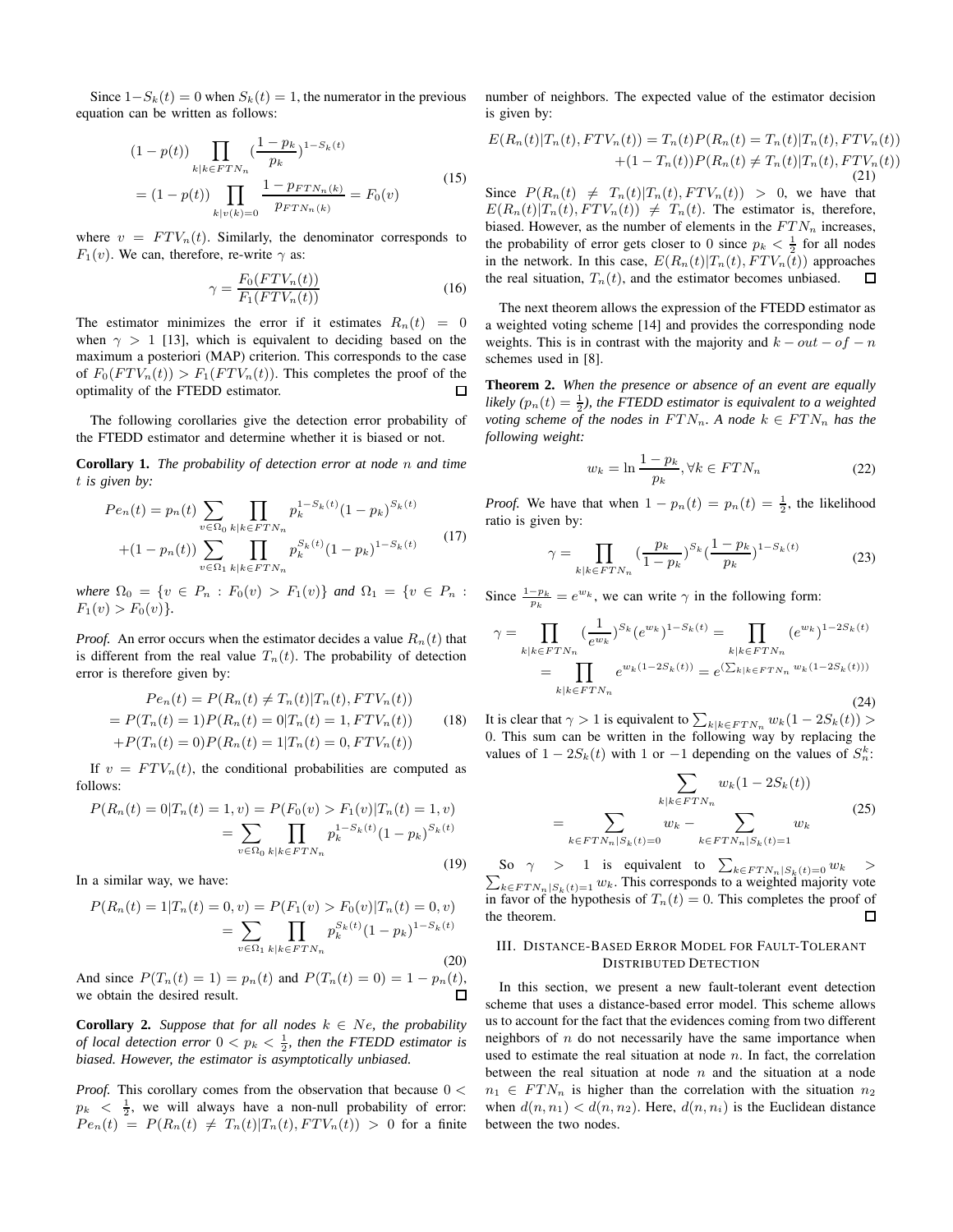Since  $1-S_k(t) = 0$  when  $S_k(t) = 1$ , the numerator in the previous equation can be written as follows:

$$
(1 - p(t)) \prod_{k|k \in FTN_n} \left(\frac{1 - p_k}{p_k}\right)^{1 - S_k(t)}
$$
  
=  $(1 - p(t)) \prod_{k|v(k) = 0} \frac{1 - p_{FTN_n(k)}}{p_{FTN_n(k)}} = F_0(v)$  (15)

where  $v = FTV_n(t)$ . Similarly, the denominator corresponds to  $F_1(v)$ . We can, therefore, re-write  $\gamma$  as:

$$
\gamma = \frac{F_0(FTV_n(t))}{F_1(FTV_n(t))} \tag{16}
$$

The estimator minimizes the error if it estimates  $R_n(t) = 0$ when  $\gamma > 1$  [13], which is equivalent to deciding based on the maximum a posteriori (MAP) criterion. This corresponds to the case of  $F_0(FTV_n(t)) > F_1(FTV_n(t))$ . This completes the proof of the optimality of the FTEDD estimator.  $\Box$ 

The following corollaries give the detection error probability of the FTEDD estimator and determine whether it is biased or not.

**Corollary 1.** *The probability of detection error at node* n *and time* t *is given by:*

$$
Pe_n(t) = p_n(t) \sum_{v \in \Omega_0} \prod_{k|k \in FTN_n} p_k^{1-S_k(t)} (1-p_k)^{S_k(t)} + (1-p_n(t)) \sum_{v \in \Omega_1} \prod_{k|k \in FTN_n} p_k^{S_k(t)} (1-p_k)^{1-S_k(t)} \tag{17}
$$

*where*  $\Omega_0 = \{v \in P_n : F_0(v) > F_1(v)\}$  *and*  $\Omega_1 = \{v \in P_n : F_0(v) > F_1(v)\}$  $F_1(v) > F_0(v)$ .

*Proof.* An error occurs when the estimator decides a value  $R_n(t)$  that is different from the real value  $T_n(t)$ . The probability of detection error is therefore given by:

$$
P e_n(t) = P(R_n(t) \neq T_n(t) | T_n(t), FTV_n(t))
$$
  
=  $P(T_n(t) = 1) P(R_n(t) = 0 | T_n(t) = 1, FTV_n(t))$  (18)  
+ $P(T_n(t) = 0) P(R_n(t) = 1 | T_n(t) = 0, FTV_n(t))$ 

If  $v = FTV<sub>n</sub>(t)$ , the conditional probabilities are computed as follows:

$$
P(R_n(t) = 0 | T_n(t) = 1, v) = P(F_0(v) > F_1(v) | T_n(t) = 1, v)
$$
  
= 
$$
\sum_{v \in \Omega_0} \prod_{k | k \in FTN_n} p_k^{1 - S_k(t)} (1 - p_k)^{S_k(t)}
$$
  
(19)

In a similar way, we have:

$$
P(R_n(t) = 1 | T_n(t) = 0, v) = P(F_1(v) > F_0(v) | T_n(t) = 0, v)
$$
  
= 
$$
\sum_{v \in \Omega_1} \prod_{k | k \in FTN_n} p_k^{S_k(t)} (1 - p_k)^{1 - S_k(t)}
$$
  
(20)

And since  $P(T_n(t) = 1) = p_n(t)$  and  $P(T_n(t) = 0) = 1 - p_n(t)$ , we obtain the desired result.

**Corollary 2.** *Suppose that for all nodes*  $k \in Ne$ *, the probability of local detection error*  $0 < p_k < \frac{1}{2}$ *, then the FTEDD estimator is biased. However, the estimator is asymptotically unbiased.*

*Proof.* This corollary comes from the observation that because  $0 <$  $p_k < \frac{1}{2}$ , we will always have a non-null probability of error:  $Pe_n(t) = P(R_n(t) \neq T_n(t)|T_n(t), FTV_n(t)) > 0$  for a finite number of neighbors. The expected value of the estimator decision is given by:

$$
E(R_n(t)|T_n(t),FTV_n(t)) = T_n(t)P(R_n(t) = T_n(t)|T_n(t),FTV_n(t)) + (1 - T_n(t))P(R_n(t) \neq T_n(t)|T_n(t),FTV_n(t))
$$
\n(21)

Since  $P(R_n(t) \neq T_n(t)|T_n(t), FTV_n(t)) > 0$ , we have that  $E(R_n(t)|T_n(t), FTV_n(t)) \neq T_n(t)$ . The estimator is, therefore, biased. However, as the number of elements in the  $FTN_n$  increases, the probability of error gets closer to 0 since  $p_k < \frac{1}{2}$  for all nodes in the network. In this case,  $E(R_n(t)|T_n(t), FTV_n(t))$  approaches the real situation.  $T_n(t)$  and the estimator becomes unbiased.  $\square$ the real situation,  $T_n(t)$ , and the estimator becomes unbiased.

The next theorem allows the expression of the FTEDD estimator as a weighted voting scheme [14] and provides the corresponding node weights. This is in contrast with the majority and  $k - out - of - n$ schemes used in [8].

**Theorem 2.** *When the presence or absence of an event are equally likely*  $(p_n(t) = \frac{1}{2})$ *, the FTEDD estimator is equivalent to a weighted voting scheme of the nodes in*  $FTN_n$ . *A node*  $k \in FTN_n$  *has the following weight:*

$$
w_k = \ln \frac{1 - p_k}{p_k}, \forall k \in FTN_n \tag{22}
$$

*Proof.* We have that when  $1 - p_n(t) = p_n(t) = \frac{1}{2}$ , the likelihood ratio is given by:

$$
\gamma = \prod_{k|k \in FTN_n} \left(\frac{p_k}{1 - p_k}\right)^{S_k} \left(\frac{1 - p_k}{p_k}\right)^{1 - S_k(t)}\tag{23}
$$

Since  $\frac{1-p_k}{p_k} = e^{w_k}$ , we can write  $\gamma$  in the following form:

$$
\gamma = \prod_{k|k \in FTN_n} \left(\frac{1}{e^{w_k}}\right)^{S_k} \left(e^{w_k}\right)^{1-S_k(t)} = \prod_{k|k \in FTN_n} \left(e^{w_k}\right)^{1-2S_k(t)}
$$
\n
$$
= \prod_{k|k \in FTN_n} e^{w_k(1-2S_k(t))} = e^{\left(\sum_{k|k \in FTN_n} w_k(1-2S_k(t))\right)}
$$
\n
$$
(24)
$$

It is clear that  $\gamma > 1$  is equivalent to  $\sum_{k|k \in FTN_n} w_k(1 - 2S_k(t)) >$ 0. This sum can be written in the following way by replacing the values of  $1 - 2S_k(t)$  with 1 or  $-1$  depending on the values of  $S_n^k$ :

$$
\sum_{k|k \in FTN_n} w_k (1 - 2S_k(t))
$$
\n
$$
\sum_{k \in FTN_n | S_k(t) = 0} w_k - \sum_{k \in FTN_n | S_k(t) = 1} w_k
$$
\n(25)

So  $\gamma > 1$  is equivalent to  $\sum_{k \in F T N_n |S_k(t)=0} w_k > \sum_{k \in F T N_n |S_k(t)=1} w_k$ . This corresponds to a weighted majority vote in favor of the hypothesis of  $T_n(t) = 0$ . This completes the proof of the theorem.  $\Box$ 

=

## III. DISTANCE-BASED ERROR MODEL FOR FAULT-TOLERANT DISTRIBUTED DETECTION

In this section, we present a new fault-tolerant event detection scheme that uses a distance-based error model. This scheme allows us to account for the fact that the evidences coming from two different neighbors of  $n$  do not necessarily have the same importance when used to estimate the real situation at node  $n$ . In fact, the correlation between the real situation at node  $n$  and the situation at a node  $n_1 \in \text{FTN}_n$  is higher than the correlation with the situation  $n_2$ when  $d(n, n_1) < d(n, n_2)$ . Here,  $d(n, n_i)$  is the Euclidean distance between the two nodes.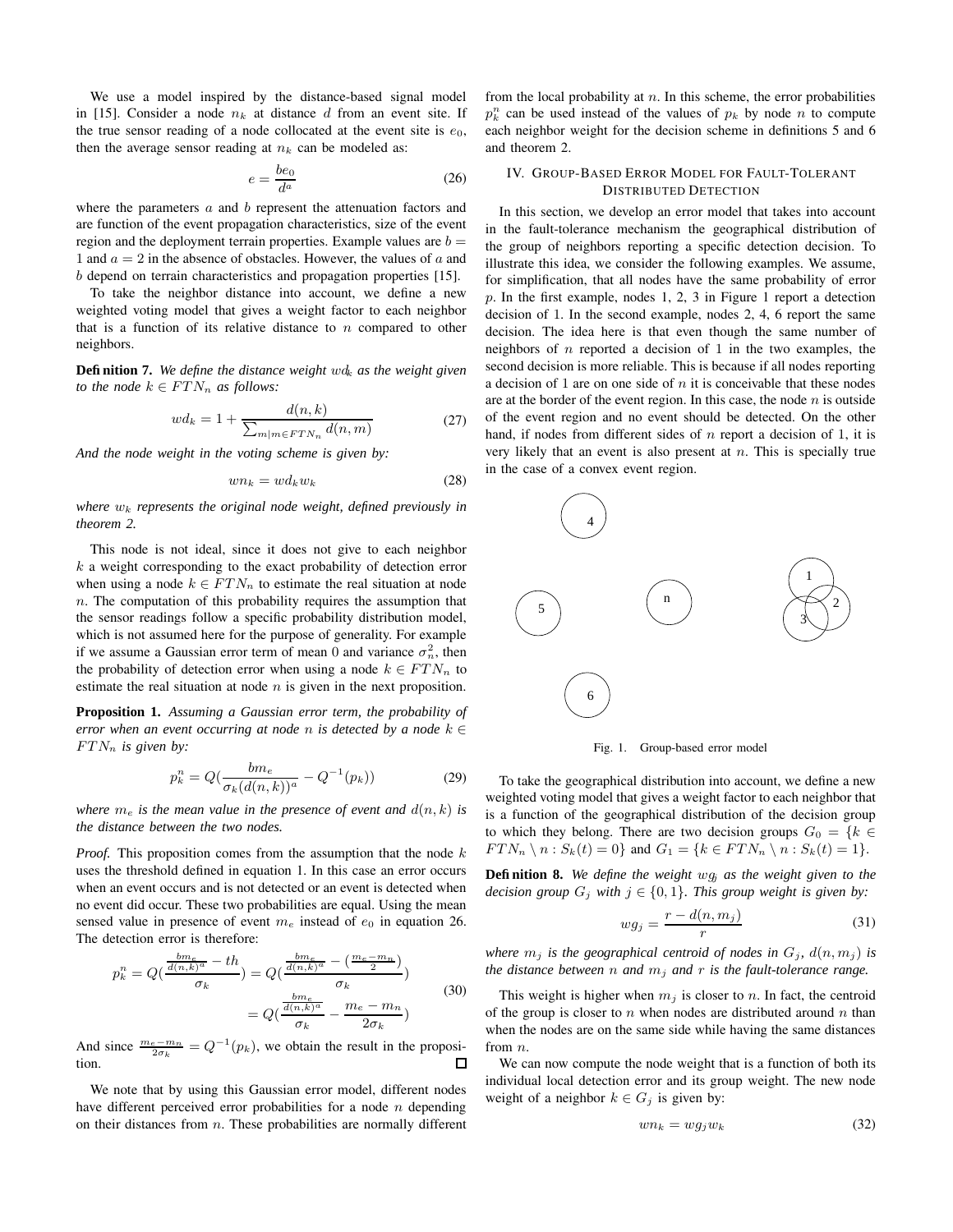We use a model inspired by the distance-based signal model in [15]. Consider a node  $n_k$  at distance d from an event site. If the true sensor reading of a node collocated at the event site is  $e_0$ , then the average sensor reading at  $n_k$  can be modeled as:

$$
e = \frac{be_0}{d^a} \tag{26}
$$

where the parameters  $a$  and  $b$  represent the attenuation factors and are function of the event propagation characteristics, size of the event region and the deployment terrain properties. Example values are  $b =$ 1 and  $a = 2$  in the absence of obstacles. However, the values of a and b depend on terrain characteristics and propagation properties [15].

To take the neighbor distance into account, we define a new weighted voting model that gives a weight factor to each neighbor that is a function of its relative distance to  $n$  compared to other neighbors.

**Definition 7.** *We define the distance weight* wd<sup>k</sup> *as the weight given to the node*  $k \in FTN_n$  *as follows:* 

$$
wd_k = 1 + \frac{d(n,k)}{\sum_{m|m \in FTN_n} d(n,m)} \tag{27}
$$

*And the node weight in the voting scheme is given by:*

$$
wn_k = wd_kw_k \tag{28}
$$

*where*  $w_k$  *represents* the *original* node *weight*, *defined previously in theorem 2.*

This node is not ideal, since it does not give to each neighbor  $k$  a weight corresponding to the exact probability of detection error when using a node  $k \in FTN_n$  to estimate the real situation at node  $n$ . The computation of this probability requires the assumption that the sensor readings follow a specific probability distribution model, which is not assumed here for the purpose of generality. For example if we assume a Gaussian error term of mean 0 and variance  $\sigma_n^2$ , then the probability of detection error when using a node  $k \in FTN_n$  to estimate the real situation at node  $n$  is given in the next proposition.

**Proposition 1.** *Assuming a Gaussian error term, the probability of error* when an event occurring at node n is detected by a node  $k \in$  $FTN_n$  *is given by:* 

$$
p_k^n = Q(\frac{bm_e}{\sigma_k(d(n,k))^a} - Q^{-1}(p_k))
$$
 (29)

*where*  $m_e$  *is the mean value in the presence of event and*  $d(n, k)$  *is the distance between the two nodes.*

*Proof.* This proposition comes from the assumption that the node  $k$ uses the threshold defined in equation 1. In this case an error occurs when an event occurs and is not detected or an event is detected when no event did occur. These two probabilities are equal. Using the mean sensed value in presence of event  $m_e$  instead of  $e_0$  in equation 26. The detection error is therefore:

$$
p_k^n = Q\left(\frac{\frac{bm_e}{d(n,k)^a} - th}{\sigma_k}\right) = Q\left(\frac{\frac{bm_e}{d(n,k)^a} - \left(\frac{m_e - m_n}{2}\right)}{\sigma_k}\right)
$$

$$
= Q\left(\frac{\frac{bm_e}{d(n,k)^a}}{\sigma_k} - \frac{m_e - m_n}{2\sigma_k}\right)
$$
(30)

And since  $\frac{m_e - m_n}{2\sigma_k} = Q^{-1}(p_k)$ , we obtain the result in the proposition.  $\Box$ 

We note that by using this Gaussian error model, different nodes have different perceived error probabilities for a node  $n$  depending on their distances from  $n$ . These probabilities are normally different

from the local probability at  $n$ . In this scheme, the error probabilities  $p_k^n$  can be used instead of the values of  $p_k$  by node n to compute each neighbor weight for the decision scheme in definitions 5 and 6 and theorem 2.

# IV. GROUP-BASED ERROR MODEL FOR FAULT-TOLERANT DISTRIBUTED DETECTION

In this section, we develop an error model that takes into account in the fault-tolerance mechanism the geographical distribution of the group of neighbors reporting a specific detection decision. To illustrate this idea, we consider the following examples. We assume, for simplification, that all nodes have the same probability of error p. In the first example, nodes 1, 2, 3 in Figure 1 report a detection decision of 1. In the second example, nodes 2, 4, 6 report the same decision. The idea here is that even though the same number of neighbors of  $n$  reported a decision of 1 in the two examples, the second decision is more reliable. This is because if all nodes reporting a decision of 1 are on one side of  $n$  it is conceivable that these nodes are at the border of the event region. In this case, the node  $n$  is outside of the event region and no event should be detected. On the other hand, if nodes from different sides of  $n$  report a decision of 1, it is very likely that an event is also present at  $n$ . This is specially true in the case of a convex event region.



Fig. 1. Group-based error model

To take the geographical distribution into account, we define a new weighted voting model that gives a weight factor to each neighbor that is a function of the geographical distribution of the decision group to which they belong. There are two decision groups  $G_0 = \{k \in$  $FTN_n \setminus n : S_k(t) = 0$  and  $G_1 = \{k \in FTN_n \setminus n : S_k(t) = 1\}.$ 

**Definition 8.** *We define the weight* wg<sup>j</sup> *as the weight given to the decision group*  $G_j$  *with*  $j \in \{0, 1\}$ *. This group weight is given by:* 

$$
wg_j = \frac{r - d(n, m_j)}{r} \tag{31}
$$

*where*  $m_j$  *is the geographical centroid of nodes in*  $G_j$ ,  $d(n, m_j)$  *is the distance between*  $n$  *and*  $m_i$  *and*  $r$  *is the fault-tolerance range.* 

This weight is higher when  $m_j$  is closer to n. In fact, the centroid of the group is closer to n when nodes are distributed around n than when the nodes are on the same side while having the same distances from *n*.

We can now compute the node weight that is a function of both its individual local detection error and its group weight. The new node weight of a neighbor  $k \in G_j$  is given by:

$$
wn_k = wg_jw_k \tag{32}
$$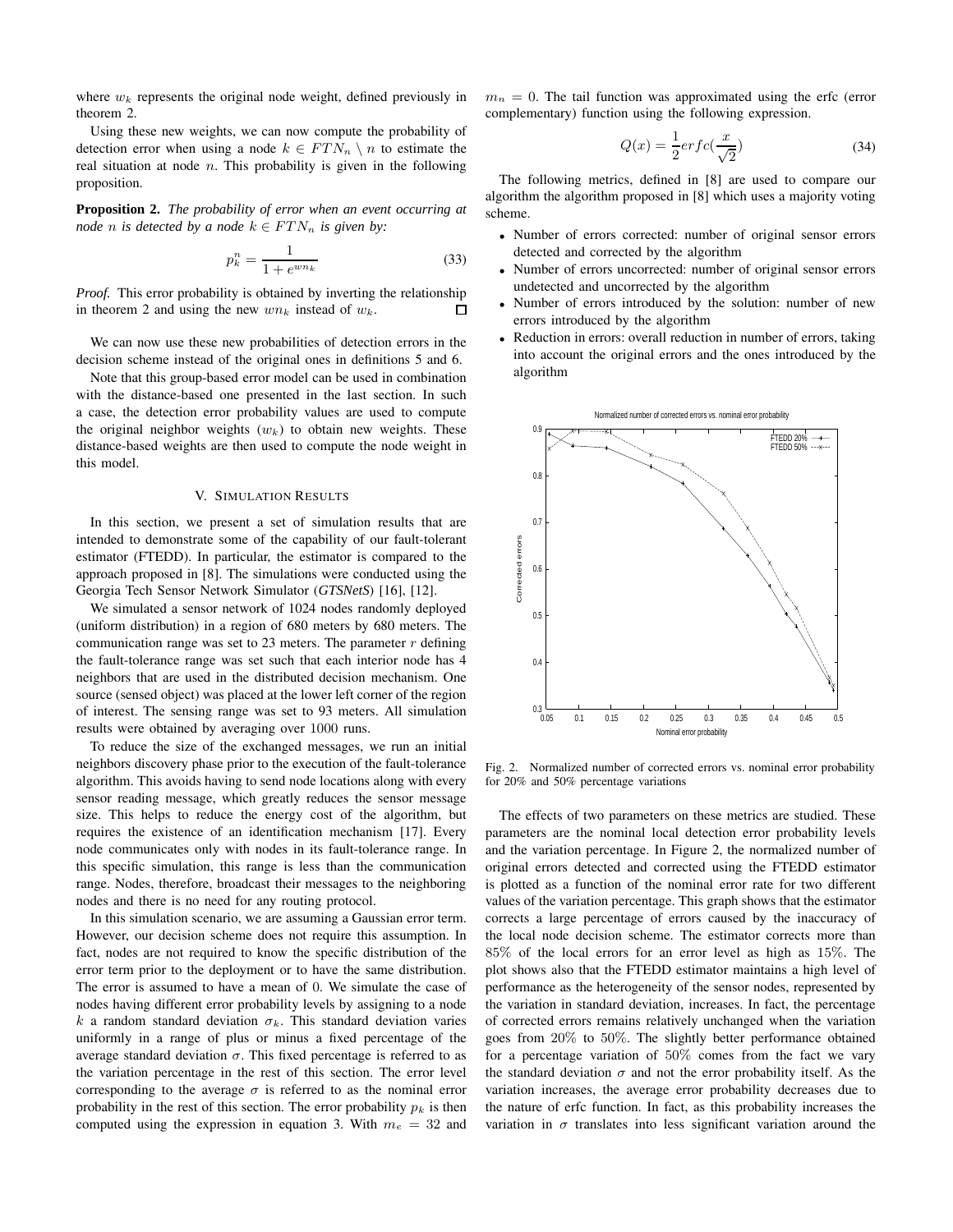where  $w_k$  represents the original node weight, defined previously in theorem 2.

Using these new weights, we can now compute the probability of detection error when using a node  $k \in FTN_n \setminus n$  to estimate the real situation at node  $n$ . This probability is given in the following proposition.

**Proposition 2.** *The probability of error when an event occurring at node n* is detected by a node  $k \in FTN_n$  is given by:

$$
p_k^n = \frac{1}{1 + e^{wn_k}}\tag{33}
$$

*Proof.* This error probability is obtained by inverting the relationship in theorem 2 and using the new  $wn_k$  instead of  $w_k$ .  $\Box$ 

We can now use these new probabilities of detection errors in the decision scheme instead of the original ones in definitions 5 and 6.

Note that this group-based error model can be used in combination with the distance-based one presented in the last section. In such a case, the detection error probability values are used to compute the original neighbor weights  $(w_k)$  to obtain new weights. These distance-based weights are then used to compute the node weight in this model.

#### V. SIMULATION RESULTS

In this section, we present a set of simulation results that are intended to demonstrate some of the capability of our fault-tolerant estimator (FTEDD). In particular, the estimator is compared to the approach proposed in [8]. The simulations were conducted using the Georgia Tech Sensor Network Simulator (*GTSNetS*) [16], [12].

We simulated a sensor network of 1024 nodes randomly deployed (uniform distribution) in a region of 680 meters by 680 meters. The communication range was set to 23 meters. The parameter  $r$  defining the fault-tolerance range was set such that each interior node has 4 neighbors that are used in the distributed decision mechanism. One source (sensed object) was placed at the lower left corner of the region of interest. The sensing range was set to 93 meters. All simulation results were obtained by averaging over 1000 runs.

To reduce the size of the exchanged messages, we run an initial neighbors discovery phase prior to the execution of the fault-tolerance algorithm. This avoids having to send node locations along with every sensor reading message, which greatly reduces the sensor message size. This helps to reduce the energy cost of the algorithm, but requires the existence of an identification mechanism [17]. Every node communicates only with nodes in its fault-tolerance range. In this specific simulation, this range is less than the communication range. Nodes, therefore, broadcast their messages to the neighboring nodes and there is no need for any routing protocol.

In this simulation scenario, we are assuming a Gaussian error term. However, our decision scheme does not require this assumption. In fact, nodes are not required to know the specific distribution of the error term prior to the deployment or to have the same distribution. The error is assumed to have a mean of 0. We simulate the case of nodes having different error probability levels by assigning to a node k a random standard deviation  $\sigma_k$ . This standard deviation varies uniformly in a range of plus or minus a fixed percentage of the average standard deviation  $\sigma$ . This fixed percentage is referred to as the variation percentage in the rest of this section. The error level corresponding to the average  $\sigma$  is referred to as the nominal error probability in the rest of this section. The error probability  $p_k$  is then computed using the expression in equation 3. With  $m_e = 32$  and  $m_n = 0$ . The tail function was approximated using the erfc (error complementary) function using the following expression.

$$
Q(x) = \frac{1}{2} erfc(\frac{x}{\sqrt{2}})
$$
\n(34)

The following metrics, defined in [8] are used to compare our algorithm the algorithm proposed in [8] which uses a majority voting scheme.

- Number of errors corrected: number of original sensor errors detected and corrected by the algorithm
- Number of errors uncorrected: number of original sensor errors undetected and uncorrected by the algorithm
- Number of errors introduced by the solution: number of new errors introduced by the algorithm
- Reduction in errors: overall reduction in number of errors, taking into account the original errors and the ones introduced by the algorithm



Fig. 2. Normalized number of corrected errors vs. nominal error probability for 20% and 50% percentage variations

The effects of two parameters on these metrics are studied. These parameters are the nominal local detection error probability levels and the variation percentage. In Figure 2, the normalized number of original errors detected and corrected using the FTEDD estimator is plotted as a function of the nominal error rate for two different values of the variation percentage. This graph shows that the estimator corrects a large percentage of errors caused by the inaccuracy of the local node decision scheme. The estimator corrects more than 85% of the local errors for an error level as high as 15%. The plot shows also that the FTEDD estimator maintains a high level of performance as the heterogeneity of the sensor nodes, represented by the variation in standard deviation, increases. In fact, the percentage of corrected errors remains relatively unchanged when the variation goes from 20% to 50%. The slightly better performance obtained for a percentage variation of 50% comes from the fact we vary the standard deviation  $\sigma$  and not the error probability itself. As the variation increases, the average error probability decreases due to the nature of erfc function. In fact, as this probability increases the variation in  $\sigma$  translates into less significant variation around the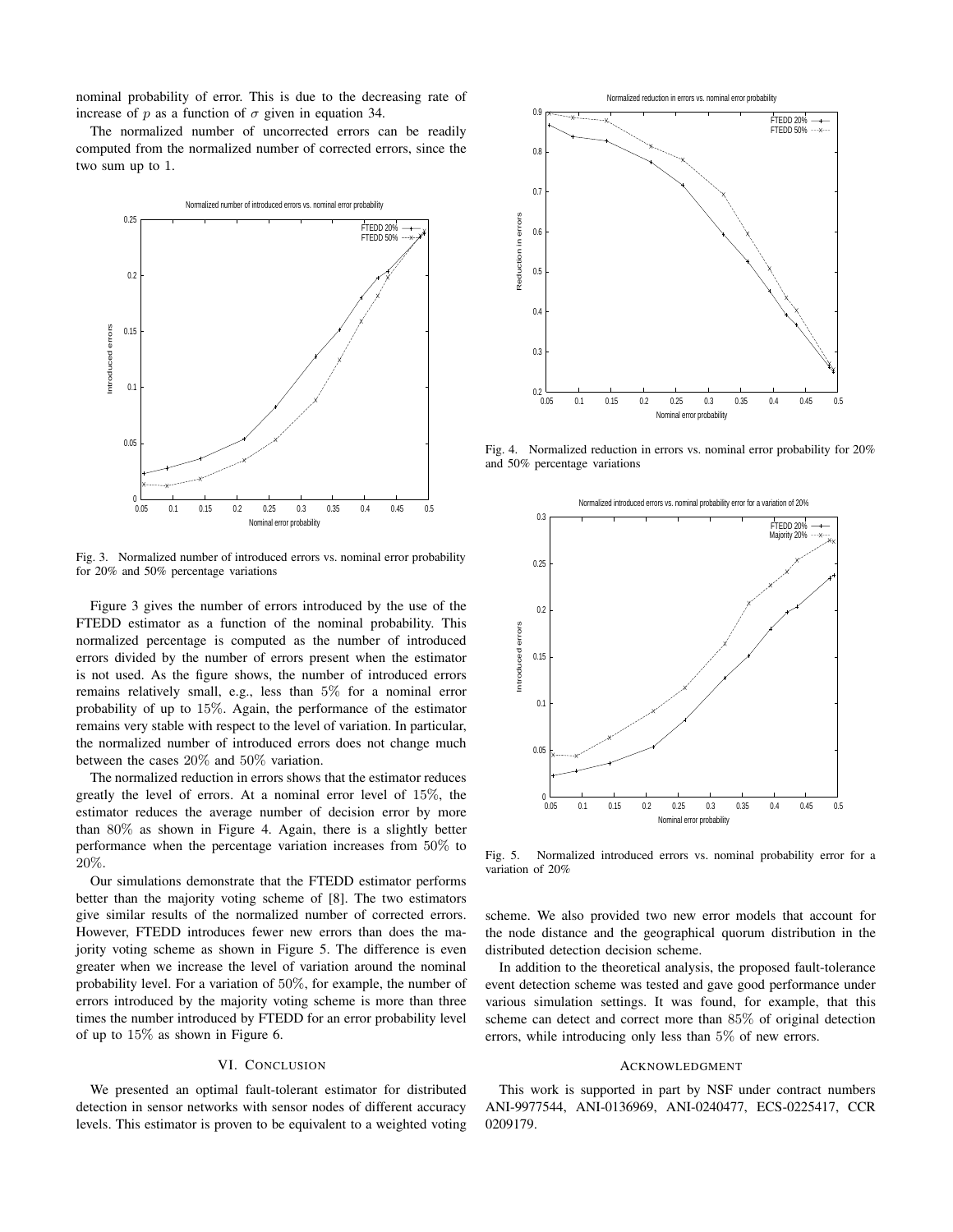nominal probability of error. This is due to the decreasing rate of increase of p as a function of  $\sigma$  given in equation 34.

The normalized number of uncorrected errors can be readily computed from the normalized number of corrected errors, since the two sum up to 1.



Fig. 3. Normalized number of introduced errors vs. nominal error probability for 20% and 50% percentage variations

Figure 3 gives the number of errors introduced by the use of the FTEDD estimator as a function of the nominal probability. This normalized percentage is computed as the number of introduced errors divided by the number of errors present when the estimator is not used. As the figure shows, the number of introduced errors remains relatively small, e.g., less than 5% for a nominal error probability of up to 15%. Again, the performance of the estimator remains very stable with respect to the level of variation. In particular, the normalized number of introduced errors does not change much between the cases 20% and 50% variation.

The normalized reduction in errors shows that the estimator reduces greatly the level of errors. At a nominal error level of 15%, the estimator reduces the average number of decision error by more than 80% as shown in Figure 4. Again, there is a slightly better performance when the percentage variation increases from 50% to 20%.

Our simulations demonstrate that the FTEDD estimator performs better than the majority voting scheme of [8]. The two estimators give similar results of the normalized number of corrected errors. However, FTEDD introduces fewer new errors than does the majority voting scheme as shown in Figure 5. The difference is even greater when we increase the level of variation around the nominal probability level. For a variation of 50%, for example, the number of errors introduced by the majority voting scheme is more than three times the number introduced by FTEDD for an error probability level of up to 15% as shown in Figure 6.

## VI. CONCLUSION

We presented an optimal fault-tolerant estimator for distributed detection in sensor networks with sensor nodes of different accuracy levels. This estimator is proven to be equivalent to a weighted voting



Fig. 4. Normalized reduction in errors vs. nominal error probability for 20% and 50% percentage variations



Fig. 5. Normalized introduced errors vs. nominal probability error for a variation of 20%

scheme. We also provided two new error models that account for the node distance and the geographical quorum distribution in the distributed detection decision scheme.

In addition to the theoretical analysis, the proposed fault-tolerance event detection scheme was tested and gave good performance under various simulation settings. It was found, for example, that this scheme can detect and correct more than 85% of original detection errors, while introducing only less than 5% of new errors.

#### ACKNOWLEDGMENT

This work is supported in part by NSF under contract numbers ANI-9977544, ANI-0136969, ANI-0240477, ECS-0225417, CCR 0209179.